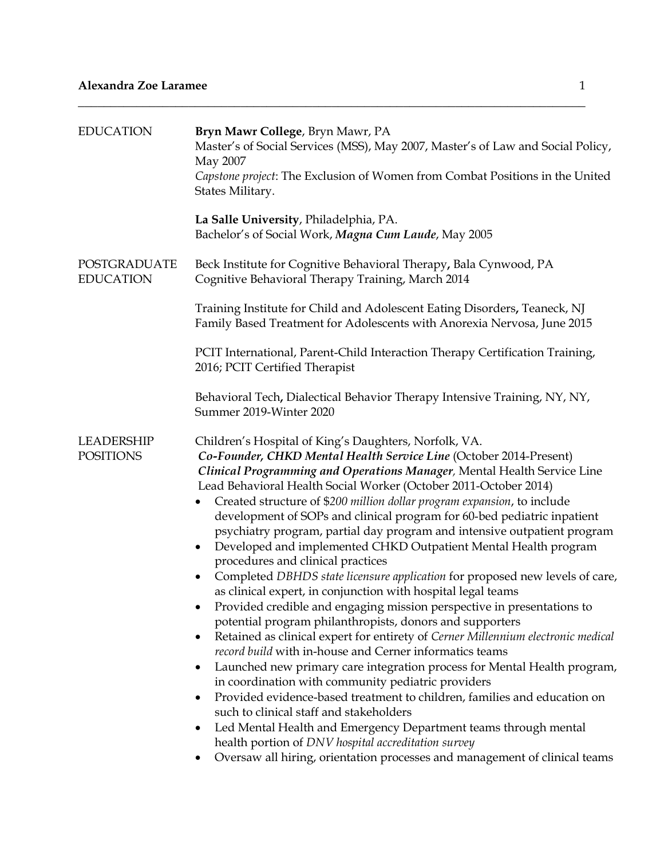| <b>EDUCATION</b>                      | Bryn Mawr College, Bryn Mawr, PA<br>Master's of Social Services (MSS), May 2007, Master's of Law and Social Policy,<br>May 2007<br>Capstone project: The Exclusion of Women from Combat Positions in the United<br>States Military.                                                                                                                                                                                                                                                                                                                                                                                                                                                                                                                                                                                                                                                                                                                                                                                                                                                                                                                                                                                                                                                                                                                                                                                                                                                                                                                            |
|---------------------------------------|----------------------------------------------------------------------------------------------------------------------------------------------------------------------------------------------------------------------------------------------------------------------------------------------------------------------------------------------------------------------------------------------------------------------------------------------------------------------------------------------------------------------------------------------------------------------------------------------------------------------------------------------------------------------------------------------------------------------------------------------------------------------------------------------------------------------------------------------------------------------------------------------------------------------------------------------------------------------------------------------------------------------------------------------------------------------------------------------------------------------------------------------------------------------------------------------------------------------------------------------------------------------------------------------------------------------------------------------------------------------------------------------------------------------------------------------------------------------------------------------------------------------------------------------------------------|
|                                       | La Salle University, Philadelphia, PA.<br>Bachelor's of Social Work, Magna Cum Laude, May 2005                                                                                                                                                                                                                                                                                                                                                                                                                                                                                                                                                                                                                                                                                                                                                                                                                                                                                                                                                                                                                                                                                                                                                                                                                                                                                                                                                                                                                                                                 |
| POSTGRADUATE<br><b>EDUCATION</b>      | Beck Institute for Cognitive Behavioral Therapy, Bala Cynwood, PA<br>Cognitive Behavioral Therapy Training, March 2014                                                                                                                                                                                                                                                                                                                                                                                                                                                                                                                                                                                                                                                                                                                                                                                                                                                                                                                                                                                                                                                                                                                                                                                                                                                                                                                                                                                                                                         |
|                                       | Training Institute for Child and Adolescent Eating Disorders, Teaneck, NJ<br>Family Based Treatment for Adolescents with Anorexia Nervosa, June 2015                                                                                                                                                                                                                                                                                                                                                                                                                                                                                                                                                                                                                                                                                                                                                                                                                                                                                                                                                                                                                                                                                                                                                                                                                                                                                                                                                                                                           |
|                                       | PCIT International, Parent-Child Interaction Therapy Certification Training,<br>2016; PCIT Certified Therapist                                                                                                                                                                                                                                                                                                                                                                                                                                                                                                                                                                                                                                                                                                                                                                                                                                                                                                                                                                                                                                                                                                                                                                                                                                                                                                                                                                                                                                                 |
|                                       | Behavioral Tech, Dialectical Behavior Therapy Intensive Training, NY, NY,<br>Summer 2019-Winter 2020                                                                                                                                                                                                                                                                                                                                                                                                                                                                                                                                                                                                                                                                                                                                                                                                                                                                                                                                                                                                                                                                                                                                                                                                                                                                                                                                                                                                                                                           |
| <b>LEADERSHIP</b><br><b>POSITIONS</b> | Children's Hospital of King's Daughters, Norfolk, VA.<br>Co-Founder, CHKD Mental Health Service Line (October 2014-Present)<br>Clinical Programming and Operations Manager, Mental Health Service Line<br>Lead Behavioral Health Social Worker (October 2011-October 2014)<br>Created structure of \$200 million dollar program expansion, to include<br>development of SOPs and clinical program for 60-bed pediatric inpatient<br>psychiatry program, partial day program and intensive outpatient program<br>Developed and implemented CHKD Outpatient Mental Health program<br>procedures and clinical practices<br>Completed DBHDS state licensure application for proposed new levels of care,<br>$\bullet$<br>as clinical expert, in conjunction with hospital legal teams<br>Provided credible and engaging mission perspective in presentations to<br>potential program philanthropists, donors and supporters<br>Retained as clinical expert for entirety of Cerner Millennium electronic medical<br>record build with in-house and Cerner informatics teams<br>Launched new primary care integration process for Mental Health program,<br>$\bullet$<br>in coordination with community pediatric providers<br>Provided evidence-based treatment to children, families and education on<br>٠<br>such to clinical staff and stakeholders<br>Led Mental Health and Emergency Department teams through mental<br>٠<br>health portion of DNV hospital accreditation survey<br>Oversaw all hiring, orientation processes and management of clinical teams |

\_\_\_\_\_\_\_\_\_\_\_\_\_\_\_\_\_\_\_\_\_\_\_\_\_\_\_\_\_\_\_\_\_\_\_\_\_\_\_\_\_\_\_\_\_\_\_\_\_\_\_\_\_\_\_\_\_\_\_\_\_\_\_\_\_\_\_\_\_\_\_\_\_\_\_\_\_\_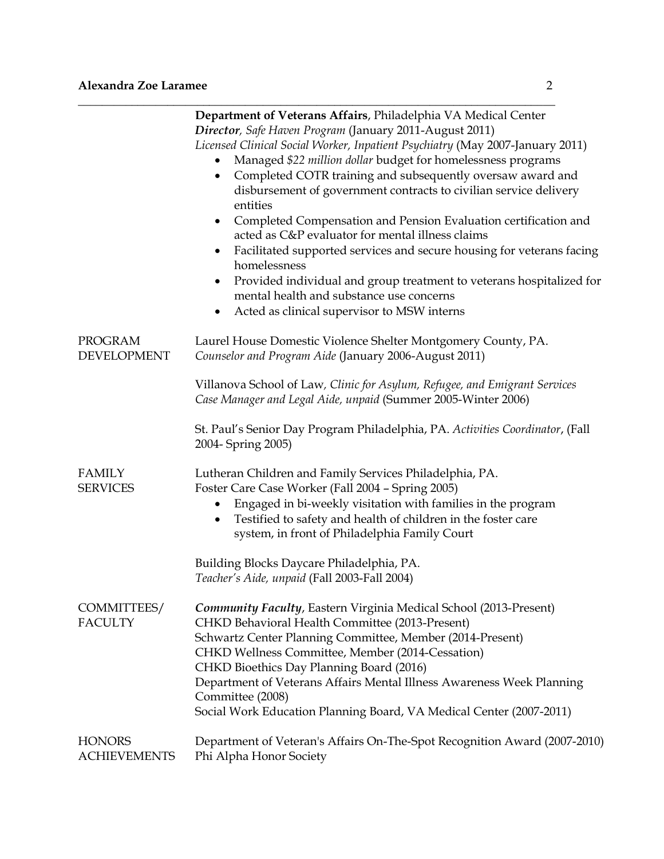|                                      | Department of Veterans Affairs, Philadelphia VA Medical Center<br>Director, Safe Haven Program (January 2011-August 2011)<br>Licensed Clinical Social Worker, Inpatient Psychiatry (May 2007-January 2011)<br>Managed \$22 million dollar budget for homelessness programs<br>$\bullet$<br>Completed COTR training and subsequently oversaw award and<br>$\bullet$<br>disbursement of government contracts to civilian service delivery<br>entities<br>Completed Compensation and Pension Evaluation certification and<br>٠<br>acted as C&P evaluator for mental illness claims<br>Facilitated supported services and secure housing for veterans facing<br>$\bullet$<br>homelessness<br>Provided individual and group treatment to veterans hospitalized for<br>$\bullet$<br>mental health and substance use concerns |
|--------------------------------------|------------------------------------------------------------------------------------------------------------------------------------------------------------------------------------------------------------------------------------------------------------------------------------------------------------------------------------------------------------------------------------------------------------------------------------------------------------------------------------------------------------------------------------------------------------------------------------------------------------------------------------------------------------------------------------------------------------------------------------------------------------------------------------------------------------------------|
|                                      | Acted as clinical supervisor to MSW interns<br>٠                                                                                                                                                                                                                                                                                                                                                                                                                                                                                                                                                                                                                                                                                                                                                                       |
| <b>PROGRAM</b><br><b>DEVELOPMENT</b> | Laurel House Domestic Violence Shelter Montgomery County, PA.<br>Counselor and Program Aide (January 2006-August 2011)                                                                                                                                                                                                                                                                                                                                                                                                                                                                                                                                                                                                                                                                                                 |
|                                      | Villanova School of Law, Clinic for Asylum, Refugee, and Emigrant Services<br>Case Manager and Legal Aide, unpaid (Summer 2005-Winter 2006)                                                                                                                                                                                                                                                                                                                                                                                                                                                                                                                                                                                                                                                                            |
|                                      | St. Paul's Senior Day Program Philadelphia, PA. Activities Coordinator, (Fall<br>2004- Spring 2005)                                                                                                                                                                                                                                                                                                                                                                                                                                                                                                                                                                                                                                                                                                                    |
| <b>FAMILY</b><br><b>SERVICES</b>     | Lutheran Children and Family Services Philadelphia, PA.<br>Foster Care Case Worker (Fall 2004 - Spring 2005)<br>Engaged in bi-weekly visitation with families in the program<br>$\bullet$<br>Testified to safety and health of children in the foster care<br>٠<br>system, in front of Philadelphia Family Court                                                                                                                                                                                                                                                                                                                                                                                                                                                                                                       |
|                                      | Building Blocks Daycare Philadelphia, PA.<br>Teacher's Aide, unpaid (Fall 2003-Fall 2004)                                                                                                                                                                                                                                                                                                                                                                                                                                                                                                                                                                                                                                                                                                                              |
| COMMITTEES/<br><b>FACULTY</b>        | <b>Community Faculty, Eastern Virginia Medical School (2013-Present)</b><br>CHKD Behavioral Health Committee (2013-Present)<br>Schwartz Center Planning Committee, Member (2014-Present)<br>CHKD Wellness Committee, Member (2014-Cessation)<br>CHKD Bioethics Day Planning Board (2016)<br>Department of Veterans Affairs Mental Illness Awareness Week Planning<br>Committee (2008)<br>Social Work Education Planning Board, VA Medical Center (2007-2011)                                                                                                                                                                                                                                                                                                                                                           |
| <b>HONORS</b><br><b>ACHIEVEMENTS</b> | Department of Veteran's Affairs On-The-Spot Recognition Award (2007-2010)<br>Phi Alpha Honor Society                                                                                                                                                                                                                                                                                                                                                                                                                                                                                                                                                                                                                                                                                                                   |

\_\_\_\_\_\_\_\_\_\_\_\_\_\_\_\_\_\_\_\_\_\_\_\_\_\_\_\_\_\_\_\_\_\_\_\_\_\_\_\_\_\_\_\_\_\_\_\_\_\_\_\_\_\_\_\_\_\_\_\_\_\_\_\_\_\_\_\_\_\_\_\_\_\_\_\_\_\_\_\_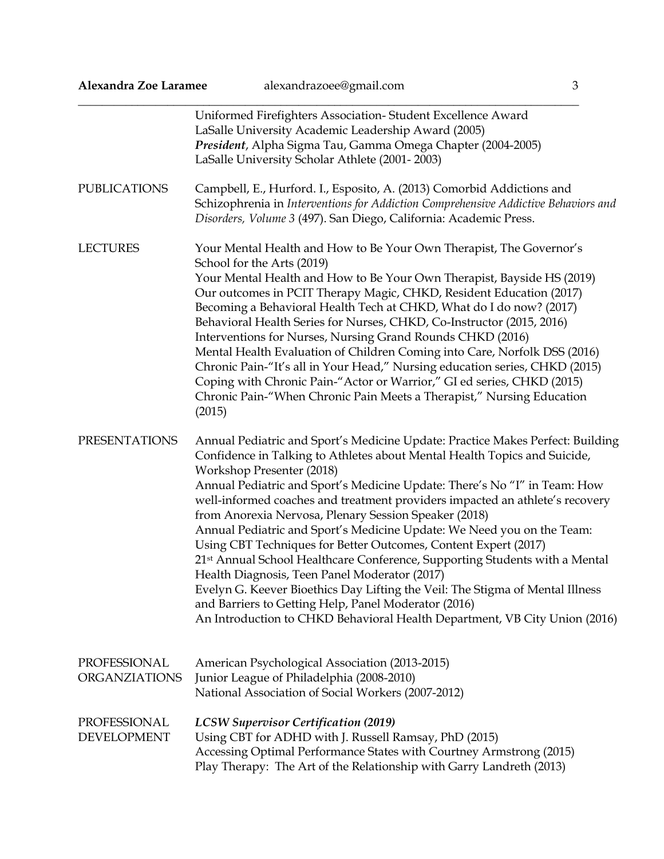| Alexandra Zoe Laramee                | alexandrazoee@gmail.com<br>3                                                                                                                                                                                                                                                                                                                                                                                                                                                                                                                                                                                                                                                                                                                                                                                                                                                                                       |
|--------------------------------------|--------------------------------------------------------------------------------------------------------------------------------------------------------------------------------------------------------------------------------------------------------------------------------------------------------------------------------------------------------------------------------------------------------------------------------------------------------------------------------------------------------------------------------------------------------------------------------------------------------------------------------------------------------------------------------------------------------------------------------------------------------------------------------------------------------------------------------------------------------------------------------------------------------------------|
| <b>PUBLICATIONS</b>                  | Uniformed Firefighters Association-Student Excellence Award<br>LaSalle University Academic Leadership Award (2005)<br>President, Alpha Sigma Tau, Gamma Omega Chapter (2004-2005)<br>LaSalle University Scholar Athlete (2001-2003)<br>Campbell, E., Hurford. I., Esposito, A. (2013) Comorbid Addictions and<br>Schizophrenia in Interventions for Addiction Comprehensive Addictive Behaviors and<br>Disorders, Volume 3 (497). San Diego, California: Academic Press.                                                                                                                                                                                                                                                                                                                                                                                                                                           |
| <b>LECTURES</b>                      | Your Mental Health and How to Be Your Own Therapist, The Governor's<br>School for the Arts (2019)<br>Your Mental Health and How to Be Your Own Therapist, Bayside HS (2019)<br>Our outcomes in PCIT Therapy Magic, CHKD, Resident Education (2017)<br>Becoming a Behavioral Health Tech at CHKD, What do I do now? (2017)<br>Behavioral Health Series for Nurses, CHKD, Co-Instructor (2015, 2016)<br>Interventions for Nurses, Nursing Grand Rounds CHKD (2016)<br>Mental Health Evaluation of Children Coming into Care, Norfolk DSS (2016)<br>Chronic Pain-"It's all in Your Head," Nursing education series, CHKD (2015)<br>Coping with Chronic Pain-"Actor or Warrior," GI ed series, CHKD (2015)<br>Chronic Pain-"When Chronic Pain Meets a Therapist," Nursing Education<br>(2015)                                                                                                                          |
| <b>PRESENTATIONS</b>                 | Annual Pediatric and Sport's Medicine Update: Practice Makes Perfect: Building<br>Confidence in Talking to Athletes about Mental Health Topics and Suicide,<br>Workshop Presenter (2018)<br>Annual Pediatric and Sport's Medicine Update: There's No "I" in Team: How<br>well-informed coaches and treatment providers impacted an athlete's recovery<br>from Anorexia Nervosa, Plenary Session Speaker (2018)<br>Annual Pediatric and Sport's Medicine Update: We Need you on the Team:<br>Using CBT Techniques for Better Outcomes, Content Expert (2017)<br>21st Annual School Healthcare Conference, Supporting Students with a Mental<br>Health Diagnosis, Teen Panel Moderator (2017)<br>Evelyn G. Keever Bioethics Day Lifting the Veil: The Stigma of Mental Illness<br>and Barriers to Getting Help, Panel Moderator (2016)<br>An Introduction to CHKD Behavioral Health Department, VB City Union (2016) |
| PROFESSIONAL<br><b>ORGANZIATIONS</b> | American Psychological Association (2013-2015)<br>Junior League of Philadelphia (2008-2010)<br>National Association of Social Workers (2007-2012)                                                                                                                                                                                                                                                                                                                                                                                                                                                                                                                                                                                                                                                                                                                                                                  |
| PROFESSIONAL<br><b>DEVELOPMENT</b>   | <b>LCSW Supervisor Certification (2019)</b><br>Using CBT for ADHD with J. Russell Ramsay, PhD (2015)<br>Accessing Optimal Performance States with Courtney Armstrong (2015)<br>Play Therapy: The Art of the Relationship with Garry Landreth (2013)                                                                                                                                                                                                                                                                                                                                                                                                                                                                                                                                                                                                                                                                |